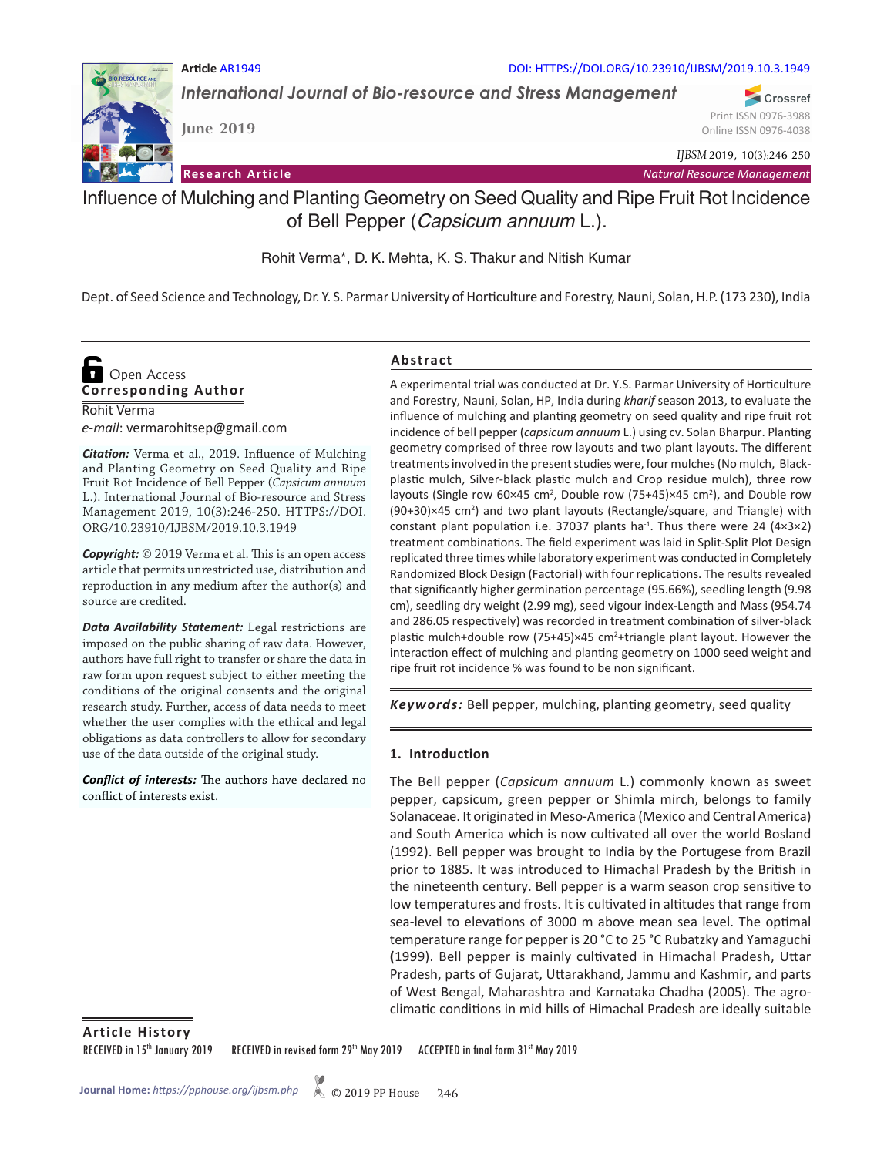

**Article** AR1949 DOI: HTTPS://DOI.ORG/10.23910/IJBSM/2019.10.3.1949

*International Journal of Bio-resource and Stress Management*

**June 2019**

Print ISSN 0976-3988 Online ISSN 0976-4038

Crossref

*IJBSM* 2019, 10(3):246-250

**Research Article** *Natural Resource Management*

# Influence of Mulching and Planting Geometry on Seed Quality and Ripe Fruit Rot Incidence of Bell Pepper (*Capsicum annuum* L.).

Rohit Verma\*, D. K. Mehta, K. S. Thakur and Nitish Kumar

Dept. of Seed Science and Technology, Dr. Y. S. Parmar University of Horticulture and Forestry, Nauni, Solan, H.P. (173 230), India

## Rohit Verma **Corresponding Author**  Open Access

*e-mail*: vermarohitsep@gmail.com

*Citation:* Verma et al., 2019. Influence of Mulching and Planting Geometry on Seed Quality and Ripe Fruit Rot Incidence of Bell Pepper (*Capsicum annuum* L.). International Journal of Bio-resource and Stress Management 2019, 10(3):246-250. HTTPS://DOI. ORG/10.23910/IJBSM/2019.10.3.1949

*Copyright:* © 2019 Verma et al. This is an open access article that permits unrestricted use, distribution and reproduction in any medium after the author(s) and source are credited.

*Data Availability Statement:* Legal restrictions are imposed on the public sharing of raw data. However, authors have full right to transfer or share the data in raw form upon request subject to either meeting the conditions of the original consents and the original research study. Further, access of data needs to meet whether the user complies with the ethical and legal obligations as data controllers to allow for secondary use of the data outside of the original study.

*Conflict of interests:* The authors have declared no conflict of interests exist.

## **Abstract**

A experimental trial was conducted at Dr. Y.S. Parmar University of Horticulture and Forestry, Nauni, Solan, HP, India during *kharif* season 2013, to evaluate the influence of mulching and planting geometry on seed quality and ripe fruit rot incidence of bell pepper (*capsicum annuum* L.) using cv. Solan Bharpur. Planting geometry comprised of three row layouts and two plant layouts. The different treatments involved in the present studies were, four mulches (No mulch, Blackplastic mulch, Silver-black plastic mulch and Crop residue mulch), three row layouts (Single row  $60 \times 45$  cm<sup>2</sup>, Double row (75+45) $\times 45$  cm<sup>2</sup>), and Double row (90+30)×45 cm<sup>2</sup>) and two plant layouts (Rectangle/square, and Triangle) with constant plant population i.e. 37037 plants ha<sup>-1</sup>. Thus there were 24 (4×3×2) treatment combinations. The field experiment was laid in Split-Split Plot Design replicated three times while laboratory experiment was conducted in Completely Randomized Block Design (Factorial) with four replications. The results revealed that significantly higher germination percentage (95.66%), seedling length (9.98 cm), seedling dry weight (2.99 mg), seed vigour index-Length and Mass (954.74 and 286.05 respectively) was recorded in treatment combination of silver-black plastic mulch+double row (75+45)×45 cm<sup>2</sup>+triangle plant layout. However the interaction effect of mulching and planting geometry on 1000 seed weight and ripe fruit rot incidence % was found to be non significant.

*Keywords:* Bell pepper, mulching, planting geometry, seed quality

## **1. Introduction**

The Bell pepper (*Capsicum annuum* L.) commonly known as sweet pepper, capsicum, green pepper or Shimla mirch, belongs to family Solanaceae. It originated in Meso-America (Mexico and Central America) and South America which is now cultivated all over the world Bosland (1992). Bell pepper was brought to India by the Portugese from Brazil prior to 1885. It was introduced to Himachal Pradesh by the British in the nineteenth century. Bell pepper is a warm season crop sensitive to low temperatures and frosts. It is cultivated in altitudes that range from sea-level to elevations of 3000 m above mean sea level. The optimal temperature range for pepper is 20 °C to 25 °C Rubatzky and Yamaguchi **(**1999). Bell pepper is mainly cultivated in Himachal Pradesh, Uttar Pradesh, parts of Gujarat, Uttarakhand, Jammu and Kashmir, and parts of West Bengal, Maharashtra and Karnataka Chadha (2005). The agroclimatic conditions in mid hills of Himachal Pradesh are ideally suitable

**Article History**

RECEIVED in 15<sup>th</sup> January 2019 RECEIVED in revised form 29<sup>th</sup> May 2019 ACCEPTED in final form 31st May 2019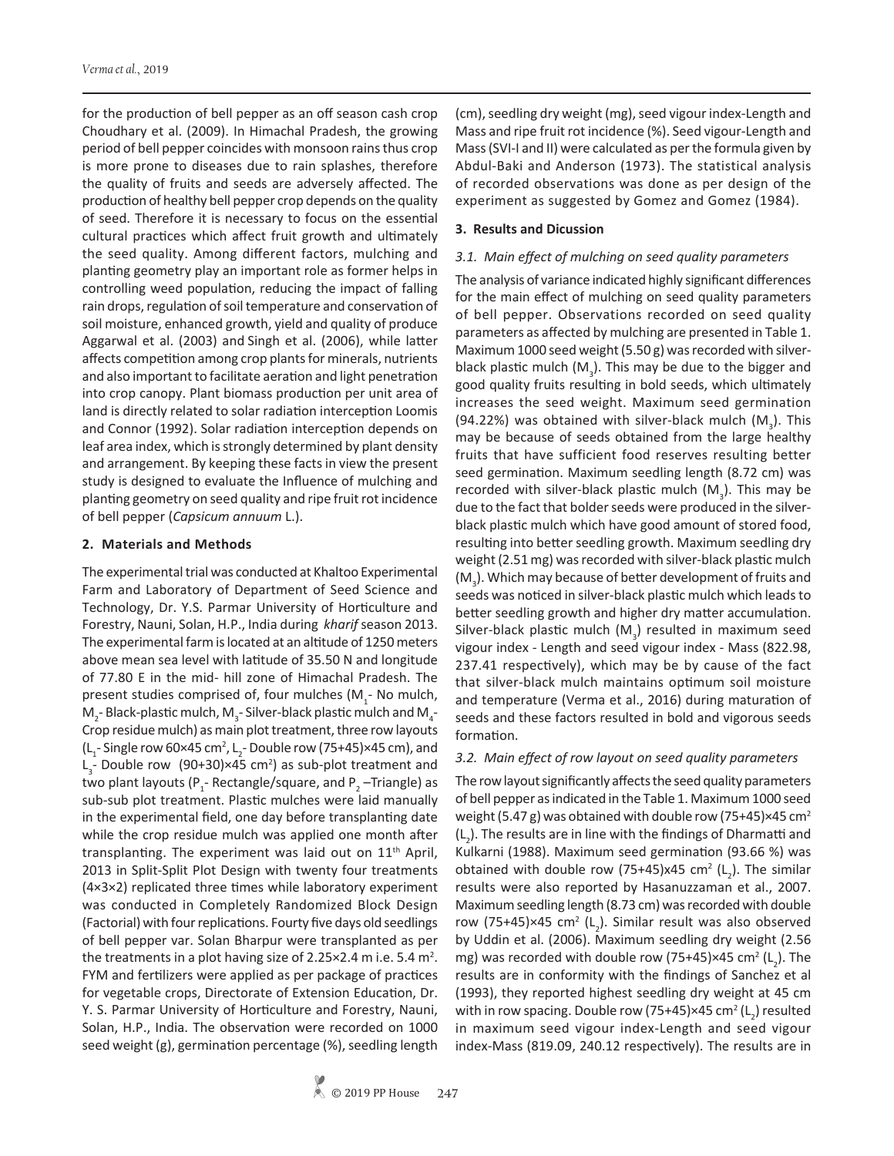for the production of bell pepper as an off season cash crop Choudhary et al. (2009). In Himachal Pradesh, the growing period of bell pepper coincides with monsoon rains thus crop is more prone to diseases due to rain splashes, therefore the quality of fruits and seeds are adversely affected. The production of healthy bell pepper crop depends on the quality of seed. Therefore it is necessary to focus on the essential cultural practices which affect fruit growth and ultimately the seed quality. Among different factors, mulching and planting geometry play an important role as former helps in controlling weed population, reducing the impact of falling rain drops, regulation of soil temperature and conservation of soil moisture, enhanced growth, yield and quality of produce Aggarwal et al. (2003) and Singh et al. (2006), while latter affects competition among crop plants for minerals, nutrients and also important to facilitate aeration and light penetration into crop canopy. Plant biomass production per unit area of land is directly related to solar radiation interception Loomis and Connor (1992). Solar radiation interception depends on leaf area index, which is strongly determined by plant density and arrangement. By keeping these facts in view the present study is designed to evaluate the Influence of mulching and planting geometry on seed quality and ripe fruit rot incidence of bell pepper (*Capsicum annuum* L.).

#### **2. Materials and Methods**

The experimental trial was conducted at Khaltoo Experimental Farm and Laboratory of Department of Seed Science and Technology, Dr. Y.S. Parmar University of Horticulture and Forestry, Nauni, Solan, H.P., India during *kharif* season 2013. The experimental farm is located at an altitude of 1250 meters above mean sea level with latitude of 35.50 N and longitude of 77.80 E in the mid- hill zone of Himachal Pradesh. The present studies comprised of, four mulches  $(M_1$ - No mulch,  $M_{2}$ -Black-plastic mulch,  $M_{3}$ -Silver-black plastic mulch and  $M_{4}$ -Crop residue mulch) as main plot treatment, three row layouts (L<sub>1</sub> - Single row 60×45 cm<sup>2</sup>, L<sub>2</sub> - Double row (75+45)×45 cm), and  $L_{3}$ - Double row (90+30)×45 cm<sup>2</sup>) as sub-plot treatment and two plant layouts ( $P_1$ - Rectangle/square, and  $P_2$  –Triangle) as sub-sub plot treatment. Plastic mulches were laid manually in the experimental field, one day before transplanting date while the crop residue mulch was applied one month after transplanting. The experiment was laid out on 11<sup>th</sup> April, 2013 in Split-Split Plot Design with twenty four treatments (4×3×2) replicated three times while laboratory experiment was conducted in Completely Randomized Block Design (Factorial) with four replications. Fourty five days old seedlings of bell pepper var. Solan Bharpur were transplanted as per the treatments in a plot having size of 2.25 $\times$ 2.4 m i.e. 5.4 m<sup>2</sup>. FYM and fertilizers were applied as per package of practices for vegetable crops, Directorate of Extension Education, Dr. Y. S. Parmar University of Horticulture and Forestry, Nauni, Solan, H.P., India. The observation were recorded on 1000 seed weight (g), germination percentage (%), seedling length

(cm), seedling dry weight (mg), seed vigour index-Length and Mass and ripe fruit rot incidence (%). Seed vigour-Length and Mass (SVI-I and II) were calculated as per the formula given by Abdul-Baki and Anderson (1973). The statistical analysis of recorded observations was done as per design of the experiment as suggested by Gomez and Gomez (1984).

## **3. Results and Dicussion**

## *3.1. Main effect of mulching on seed quality parameters*

The analysis of variance indicated highly significant differences for the main effect of mulching on seed quality parameters of bell pepper. Observations recorded on seed quality parameters as affected by mulching are presented in Table 1. Maximum 1000 seed weight (5.50 g) was recorded with silverblack plastic mulch  $(M_{3})$ . This may be due to the bigger and good quality fruits resulting in bold seeds, which ultimately increases the seed weight. Maximum seed germination (94.22%) was obtained with silver-black mulch  $(M_3)$ . This may be because of seeds obtained from the large healthy fruits that have sufficient food reserves resulting better seed germination. Maximum seedling length (8.72 cm) was recorded with silver-black plastic mulch  $(\mathsf{M}_{\overline{3}})$ . This may be due to the fact that bolder seeds were produced in the silverblack plastic mulch which have good amount of stored food, resulting into better seedling growth. Maximum seedling dry weight (2.51 mg) was recorded with silver-black plastic mulch  $(M_3)$ . Which may because of better development of fruits and seeds was noticed in silver-black plastic mulch which leads to better seedling growth and higher dry matter accumulation. Silver-black plastic mulch  $(\mathsf{M}^3)$  resulted in maximum seed vigour index - Length and seed vigour index - Mass (822.98, 237.41 respectively), which may be by cause of the fact that silver-black mulch maintains optimum soil moisture and temperature (Verma et al., 2016) during maturation of seeds and these factors resulted in bold and vigorous seeds formation.

#### *3.2. Main effect of row layout on seed quality parameters*

The row layout significantly affects the seed quality parameters of bell pepper as indicated in the Table 1. Maximum 1000 seed weight (5.47 g) was obtained with double row (75+45) $\times$ 45 cm<sup>2</sup>  $(L<sub>2</sub>)$ . The results are in line with the findings of Dharmatti and Kulkarni (1988). Maximum seed germination (93.66 %) was obtained with double row (75+45)x45 cm<sup>2</sup> (L<sub>2</sub>). The similar results were also reported by Hasanuzzaman et al., 2007. Maximum seedling length (8.73 cm) was recorded with double row (75+45)×45 cm<sup>2</sup> (L<sub>2</sub>). Similar result was also observed by Uddin et al. (2006). Maximum seedling dry weight (2.56 mg) was recorded with double row (75+45)×45 cm<sup>2</sup> (L<sub>2</sub>). The results are in conformity with the findings of Sanchez et al (1993), they reported highest seedling dry weight at 45 cm with in row spacing. Double row (75+45)×45 cm² (L<sub>2</sub>) resulted in maximum seed vigour index-Length and seed vigour index-Mass (819.09, 240.12 respectively). The results are in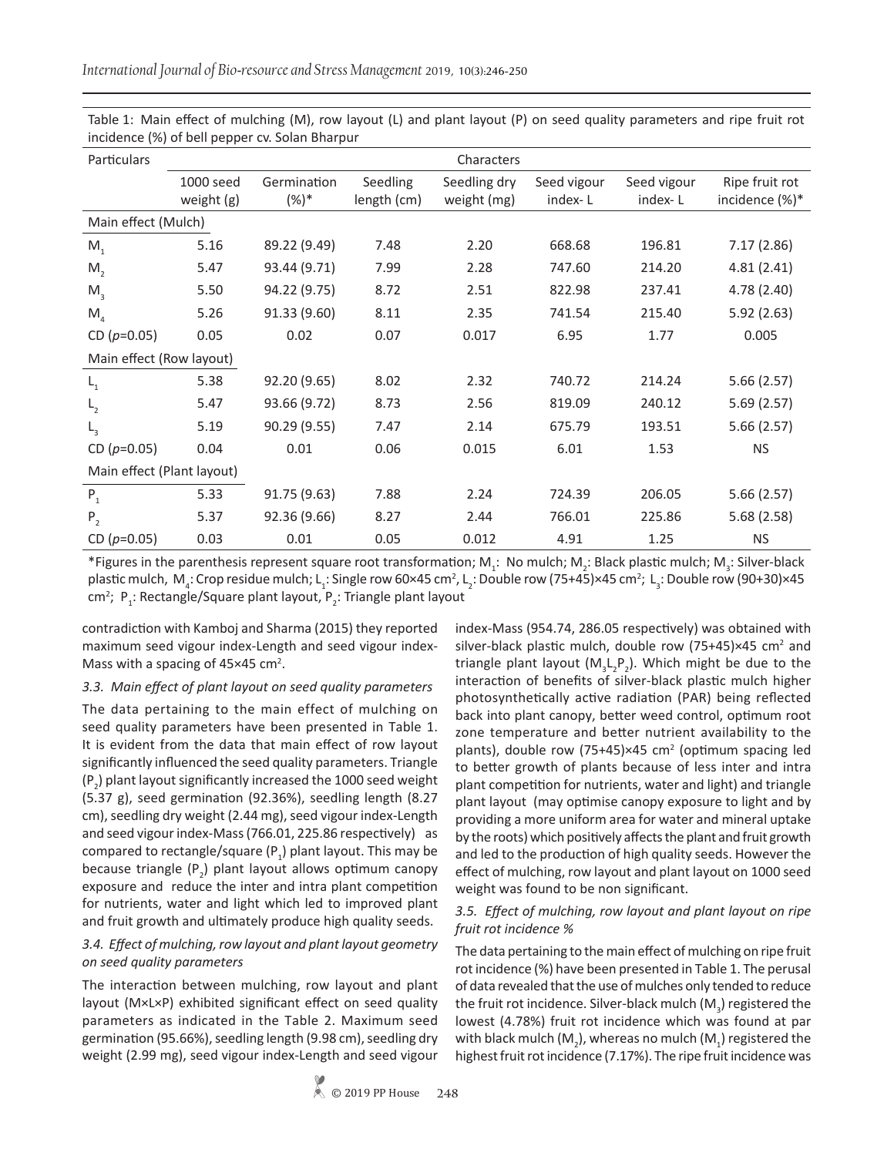| Particulars                | Characters              |                        |                         |                             |                        |                        |                                  |  |  |
|----------------------------|-------------------------|------------------------|-------------------------|-----------------------------|------------------------|------------------------|----------------------------------|--|--|
|                            | 1000 seed<br>weight (g) | Germination<br>$(%)$ * | Seedling<br>length (cm) | Seedling dry<br>weight (mg) | Seed vigour<br>index-L | Seed vigour<br>index-L | Ripe fruit rot<br>incidence (%)* |  |  |
| Main effect (Mulch)        |                         |                        |                         |                             |                        |                        |                                  |  |  |
| M <sub>1</sub>             | 5.16                    | 89.22 (9.49)           | 7.48                    | 2.20                        | 668.68                 | 196.81                 | 7.17(2.86)                       |  |  |
| M <sub>2</sub>             | 5.47                    | 93.44 (9.71)           | 7.99                    | 2.28                        | 747.60                 | 214.20                 | 4.81(2.41)                       |  |  |
| $M_{\rm a}$                | 5.50                    | 94.22 (9.75)           | 8.72                    | 2.51                        | 822.98                 | 237.41                 | 4.78 (2.40)                      |  |  |
| M <sub>4</sub>             | 5.26                    | 91.33 (9.60)           | 8.11                    | 2.35                        | 741.54                 | 215.40                 | 5.92(2.63)                       |  |  |
| CD $(p=0.05)$              | 0.05                    | 0.02                   | 0.07                    | 0.017                       | 6.95                   | 1.77                   | 0.005                            |  |  |
| Main effect (Row layout)   |                         |                        |                         |                             |                        |                        |                                  |  |  |
| $L_{1}$                    | 5.38                    | 92.20 (9.65)           | 8.02                    | 2.32                        | 740.72                 | 214.24                 | 5.66(2.57)                       |  |  |
| $L_{2}$                    | 5.47                    | 93.66 (9.72)           | 8.73                    | 2.56                        | 819.09                 | 240.12                 | 5.69(2.57)                       |  |  |
| $L_{3}$                    | 5.19                    | 90.29 (9.55)           | 7.47                    | 2.14                        | 675.79                 | 193.51                 | 5.66(2.57)                       |  |  |
| CD $(p=0.05)$              | 0.04                    | 0.01                   | 0.06                    | 0.015                       | 6.01                   | 1.53                   | <b>NS</b>                        |  |  |
| Main effect (Plant layout) |                         |                        |                         |                             |                        |                        |                                  |  |  |
| $P_1$                      | 5.33                    | 91.75 (9.63)           | 7.88                    | 2.24                        | 724.39                 | 206.05                 | 5.66(2.57)                       |  |  |
| P <sub>2</sub>             | 5.37                    | 92.36 (9.66)           | 8.27                    | 2.44                        | 766.01                 | 225.86                 | 5.68(2.58)                       |  |  |
| CD $(p=0.05)$              | 0.03                    | 0.01                   | 0.05                    | 0.012                       | 4.91                   | 1.25                   | <b>NS</b>                        |  |  |

Table 1: Main effect of mulching (M), row layout (L) and plant layout (P) on seed quality parameters and ripe fruit rot incidence (%) of bell pepper cv. Solan Bharpur

\*Figures in the parenthesis represent square root transformation;  $M_i$ : No mulch;  $M_i$ : Black plastic mulch;  $M_i$ : Silver-black plastic mulch, M<sub>4</sub>: Crop residue mulch; L<sub>1</sub>: Single row 60×45 cm<sup>2</sup>, L<sub>2</sub>: Double row (75+45)×45 cm<sup>2</sup>; L<sub>3</sub>: Double row (90+30)×45 cm<sup>2</sup>; P<sub>1</sub>: Rectangle/Square plant layout, P<sub>2</sub>: Triangle plant layout

contradiction with Kamboj and Sharma (2015) they reported maximum seed vigour index-Length and seed vigour index-Mass with a spacing of  $45\times45$  cm<sup>2</sup>.

#### *3.3. Main effect of plant layout on seed quality parameters*

The data pertaining to the main effect of mulching on seed quality parameters have been presented in Table 1. It is evident from the data that main effect of row layout significantly influenced the seed quality parameters. Triangle  $(P_2)$  plant layout significantly increased the 1000 seed weight (5.37 g), seed germination (92.36%), seedling length (8.27 cm), seedling dry weight (2.44 mg), seed vigour index-Length and seed vigour index-Mass (766.01, 225.86 respectively) as compared to rectangle/square (P<sub>1</sub>) plant layout. This may be because triangle  $(P_2)$  plant layout allows optimum canopy exposure and reduce the inter and intra plant competition for nutrients, water and light which led to improved plant and fruit growth and ultimately produce high quality seeds.

## *3.4. Effect of mulching, row layout and plant layout geometry on seed quality parameters*

The interaction between mulching, row layout and plant layout (M×L×P) exhibited significant effect on seed quality parameters as indicated in the Table 2. Maximum seed germination (95.66%), seedling length (9.98 cm), seedling dry weight (2.99 mg), seed vigour index-Length and seed vigour index-Mass (954.74, 286.05 respectively) was obtained with silver-black plastic mulch, double row  $(75+45) \times 45$  cm<sup>2</sup> and triangle plant layout  $(M_{3}L_{2}P_{2})$ . Which might be due to the interaction of benefits of silver-black plastic mulch higher photosynthetically active radiation (PAR) being reflected back into plant canopy, better weed control, optimum root zone temperature and better nutrient availability to the plants), double row  $(75+45) \times 45$  cm<sup>2</sup> (optimum spacing led to better growth of plants because of less inter and intra plant competition for nutrients, water and light) and triangle plant layout (may optimise canopy exposure to light and by providing a more uniform area for water and mineral uptake by the roots) which positively affects the plant and fruit growth and led to the production of high quality seeds. However the effect of mulching, row layout and plant layout on 1000 seed weight was found to be non significant.

#### *3.5. Effect of mulching, row layout and plant layout on ripe fruit rot incidence %*

The data pertaining to the main effect of mulching on ripe fruit rot incidence (%) have been presented in Table 1. The perusal of data revealed that the use of mulches only tended to reduce the fruit rot incidence. Silver-black mulch (M<sub>3</sub>) registered the lowest (4.78%) fruit rot incidence which was found at par with black mulch (M<sub>2</sub>), whereas no mulch (M<sub>1</sub>) registered the highest fruit rot incidence (7.17%). The ripe fruit incidence was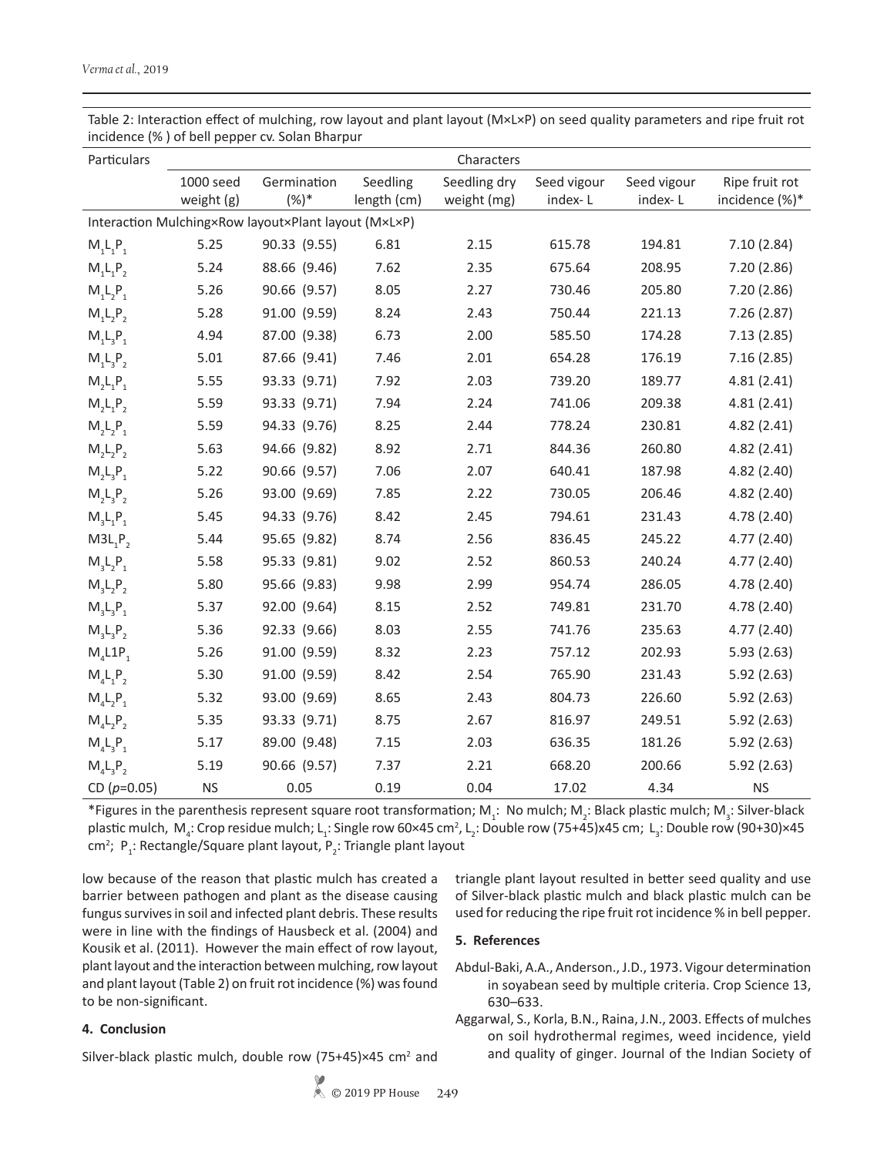Table 2: Interaction effect of mulching, row layout and plant layout (M×L×P) on seed quality parameters and ripe fruit rot incidence (% ) of bell pepper cv. Solan Bharpur

| Particulars                                          | Characters |              |             |              |             |             |                |  |  |  |  |
|------------------------------------------------------|------------|--------------|-------------|--------------|-------------|-------------|----------------|--|--|--|--|
|                                                      | 1000 seed  | Germination  | Seedling    | Seedling dry | Seed vigour | Seed vigour | Ripe fruit rot |  |  |  |  |
|                                                      | weight (g) | $(%)$ *      | length (cm) | weight (mg)  | index-L     | index-L     | incidence (%)* |  |  |  |  |
| Interaction Mulching×Row layout×Plant layout (M×L×P) |            |              |             |              |             |             |                |  |  |  |  |
| $M_1L_1P_1$                                          | 5.25       | 90.33 (9.55) | 6.81        | 2.15         | 615.78      | 194.81      | 7.10(2.84)     |  |  |  |  |
| $M_1L_1P_2$                                          | 5.24       | 88.66 (9.46) | 7.62        | 2.35         | 675.64      | 208.95      | 7.20 (2.86)    |  |  |  |  |
| $M_1L_2P_1$                                          | 5.26       | 90.66 (9.57) | 8.05        | 2.27         | 730.46      | 205.80      | 7.20(2.86)     |  |  |  |  |
| $M_1L_2P_2$                                          | 5.28       | 91.00 (9.59) | 8.24        | 2.43         | 750.44      | 221.13      | 7.26(2.87)     |  |  |  |  |
| $M_1L_3P_1$                                          | 4.94       | 87.00 (9.38) | 6.73        | 2.00         | 585.50      | 174.28      | 7.13(2.85)     |  |  |  |  |
| $M_1L_3P_2$                                          | 5.01       | 87.66 (9.41) | 7.46        | 2.01         | 654.28      | 176.19      | 7.16(2.85)     |  |  |  |  |
| $M_2L_1P_1$                                          | 5.55       | 93.33 (9.71) | 7.92        | 2.03         | 739.20      | 189.77      | 4.81(2.41)     |  |  |  |  |
| $M_2L_1P_2$                                          | 5.59       | 93.33 (9.71) | 7.94        | 2.24         | 741.06      | 209.38      | 4.81(2.41)     |  |  |  |  |
| $M_2L_2P_1$                                          | 5.59       | 94.33 (9.76) | 8.25        | 2.44         | 778.24      | 230.81      | 4.82 (2.41)    |  |  |  |  |
| $M_2L_2P_2$                                          | 5.63       | 94.66 (9.82) | 8.92        | 2.71         | 844.36      | 260.80      | 4.82(2.41)     |  |  |  |  |
| $M_2L_3P_1$                                          | 5.22       | 90.66 (9.57) | 7.06        | 2.07         | 640.41      | 187.98      | 4.82(2.40)     |  |  |  |  |
| $M_2L_3P_2$                                          | 5.26       | 93.00 (9.69) | 7.85        | 2.22         | 730.05      | 206.46      | 4.82(2.40)     |  |  |  |  |
| $M_3L_1P_1$                                          | 5.45       | 94.33 (9.76) | 8.42        | 2.45         | 794.61      | 231.43      | 4.78 (2.40)    |  |  |  |  |
| $M3L_1P_2$                                           | 5.44       | 95.65 (9.82) | 8.74        | 2.56         | 836.45      | 245.22      | 4.77(2.40)     |  |  |  |  |
| $M_3L_2P_1$                                          | 5.58       | 95.33 (9.81) | 9.02        | 2.52         | 860.53      | 240.24      | 4.77(2.40)     |  |  |  |  |
| $M_3L_2P_2$                                          | 5.80       | 95.66 (9.83) | 9.98        | 2.99         | 954.74      | 286.05      | 4.78 (2.40)    |  |  |  |  |
| $M_3L_3P_1$                                          | 5.37       | 92.00 (9.64) | 8.15        | 2.52         | 749.81      | 231.70      | 4.78(2.40)     |  |  |  |  |
| $M_3L_3P_2$                                          | 5.36       | 92.33 (9.66) | 8.03        | 2.55         | 741.76      | 235.63      | 4.77(2.40)     |  |  |  |  |
| $M_4L1P_1$                                           | 5.26       | 91.00 (9.59) | 8.32        | 2.23         | 757.12      | 202.93      | 5.93(2.63)     |  |  |  |  |
| $M_4L_1P_2$                                          | 5.30       | 91.00 (9.59) | 8.42        | 2.54         | 765.90      | 231.43      | 5.92(2.63)     |  |  |  |  |
| $M_4L_2P_1$                                          | 5.32       | 93.00 (9.69) | 8.65        | 2.43         | 804.73      | 226.60      | 5.92(2.63)     |  |  |  |  |
| $M_4L_2P_2$                                          | 5.35       | 93.33 (9.71) | 8.75        | 2.67         | 816.97      | 249.51      | 5.92(2.63)     |  |  |  |  |
| $M_4L_3P_1$                                          | 5.17       | 89.00 (9.48) | 7.15        | 2.03         | 636.35      | 181.26      | 5.92(2.63)     |  |  |  |  |
| $M_4L_3P_2$                                          | 5.19       | 90.66 (9.57) | 7.37        | 2.21         | 668.20      | 200.66      | 5.92 (2.63)    |  |  |  |  |
| CD ( $p=0.05$ )                                      | <b>NS</b>  | 0.05         | 0.19        | 0.04         | 17.02       | 4.34        | <b>NS</b>      |  |  |  |  |

\*Figures in the parenthesis represent square root transformation;  $M_1$ : No mulch;  $M_2$ : Black plastic mulch;  $M_3$ : Silver-black plastic mulch, M<sub>4</sub>: Crop residue mulch; L<sub>1</sub>: Single row 60×45 cm<sup>2</sup>, L<sub>2</sub>: Double row (75+45)x45 cm; L<sub>3</sub>: Double row (90+30)×45 cm<sup>2</sup>; P<sub>1</sub>: Rectangle/Square plant layout, P<sub>2</sub>: Triangle plant layout

low because of the reason that plastic mulch has created a barrier between pathogen and plant as the disease causing fungus survives in soil and infected plant debris. These results were in line with the findings of Hausbeck et al. (2004) and Kousik et al. (2011). However the main effect of row layout, plant layout and the interaction between mulching, row layout and plant layout (Table 2) on fruit rot incidence (%) was found to be non-significant.

#### **4. Conclusion**

Silver-black plastic mulch, double row  $(75+45) \times 45$  cm<sup>2</sup> and

triangle plant layout resulted in better seed quality and use of Silver-black plastic mulch and black plastic mulch can be used for reducing the ripe fruit rot incidence % in bell pepper.

#### **5. References**

- Abdul-Baki, A.A., Anderson., J.D., 1973. Vigour determination in soyabean seed by multiple criteria. Crop Science 13, 630–633.
- Aggarwal, S., Korla, B.N., Raina, J.N., 2003. Effects of mulches on soil hydrothermal regimes, weed incidence, yield and quality of ginger. Journal of the Indian Society of